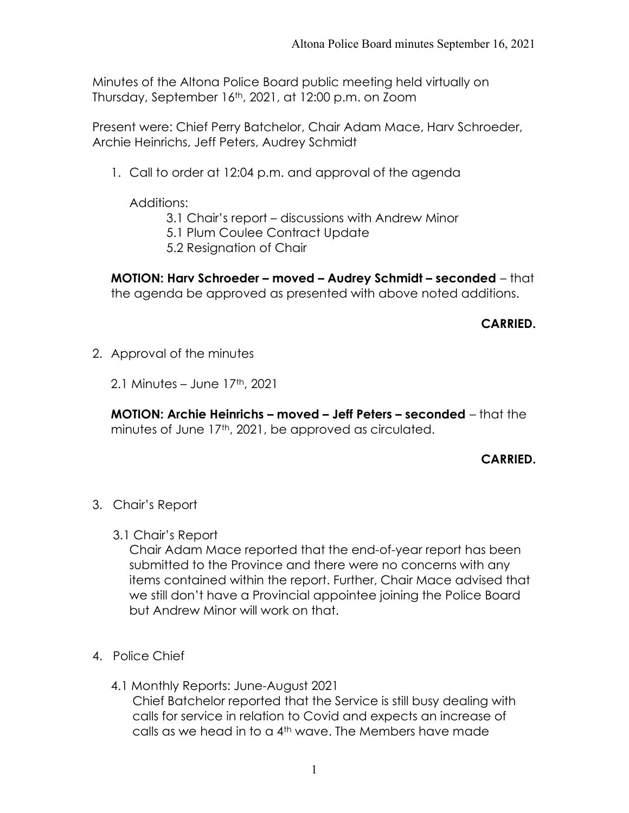Minutes of the Altona Police Board public meeting held virtually on Thursday, September 16th, 2021, at 12:00 p.m. on Zoom

Present were: Chief Perry Batchelor, Chair Adam Mace, Harv Schroeder, Archie Heinrichs, Jeff Peters, Audrey Schmidt

1. Call to order at 12:04 p.m. and approval of the agenda

Additions:

- 3.1 Chair's report discussions with Andrew Minor
- 5.1 Plum Coulee Contract Update
- 5.2 Resignation of Chair

MOTION: Harv Schroeder – moved – Audrey Schmidt – seconded – that the agenda be approved as presented with above noted additions.

## CARRIED.

2. Approval of the minutes

2.1 Minutes – June 17th, 2021

MOTION: Archie Heinrichs – moved – Jeff Peters – seconded – that the minutes of June 17<sup>th</sup>, 2021, be approved as circulated.

## CARRIED.

- 3. Chair's Report
	- 3.1 Chair's Report

Chair Adam Mace reported that the end-of-year report has been submitted to the Province and there were no concerns with any items contained within the report. Further, Chair Mace advised that we still don't have a Provincial appointee joining the Police Board but Andrew Minor will work on that.

- 4. Police Chief
	- 4.1 Monthly Reports: June-August 2021 Chief Batchelor reported that the Service is still busy dealing with calls for service in relation to Covid and expects an increase of calls as we head in to a 4th wave. The Members have made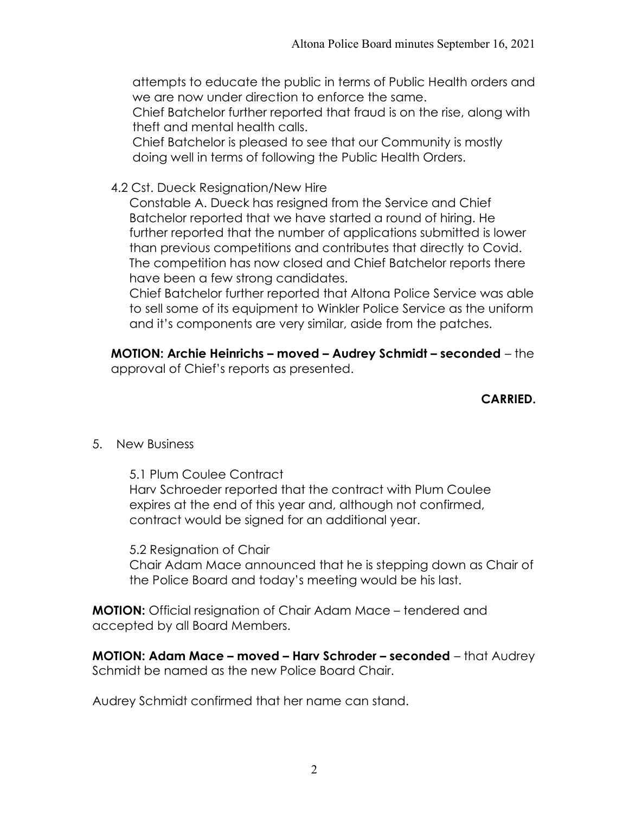attempts to educate the public in terms of Public Health orders and we are now under direction to enforce the same.

Chief Batchelor further reported that fraud is on the rise, along with theft and mental health calls.

Chief Batchelor is pleased to see that our Community is mostly doing well in terms of following the Public Health Orders.

4.2 Cst. Dueck Resignation/New Hire

Constable A. Dueck has resigned from the Service and Chief Batchelor reported that we have started a round of hiring. He further reported that the number of applications submitted is lower than previous competitions and contributes that directly to Covid. The competition has now closed and Chief Batchelor reports there have been a few strong candidates.

Chief Batchelor further reported that Altona Police Service was able to sell some of its equipment to Winkler Police Service as the uniform and it's components are very similar, aside from the patches.

MOTION: Archie Heinrichs – moved – Audrey Schmidt – seconded – the approval of Chief's reports as presented.

## CARRIED.

5. New Business

 5.1 Plum Coulee Contract Harv Schroeder reported that the contract with Plum Coulee expires at the end of this year and, although not confirmed, contract would be signed for an additional year.

 5.2 Resignation of Chair Chair Adam Mace announced that he is stepping down as Chair of the Police Board and today's meeting would be his last.

**MOTION:** Official resignation of Chair Adam Mace – tendered and accepted by all Board Members.

MOTION: Adam Mace – moved – Harv Schroder – seconded – that Audrey Schmidt be named as the new Police Board Chair.

Audrey Schmidt confirmed that her name can stand.